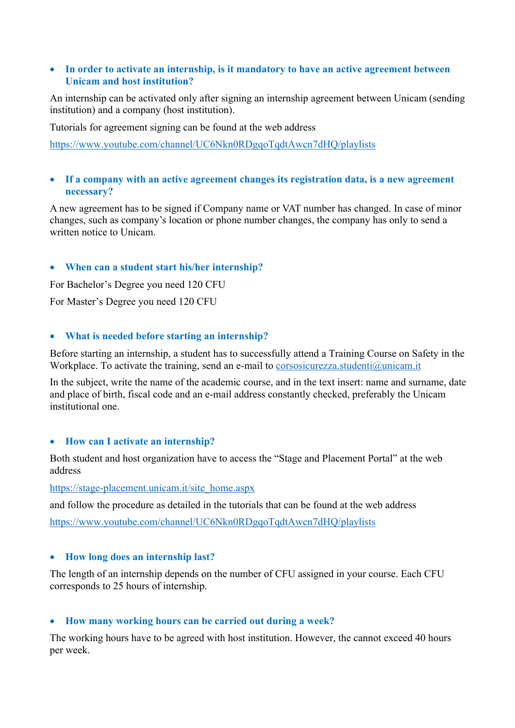## • **In order to activate an internship, is it mandatory to have an active agreement between Unicam and host institution?**

An internship can be activated only after signing an internship agreement between Unicam (sending institution) and a company (host institution).

Tutorials for agreement signing can be found at the web address

https://www.youtube.com/channel/UC6Nkn0RDgqoTqdtAwcn7dHQ/playlists

## • **If a company with an active agreement changes its registration data, is a new agreement necessary?**

A new agreement has to be signed if Company name or VAT number has changed. In case of minor changes, such as company's location or phone number changes, the company has only to send a written notice to Unicam.

# • **When can a student start his/her internship?**

For Bachelor's Degree you need 120 CFU

For Master's Degree you need 120 CFU

## • **What is needed before starting an internship?**

Before starting an internship, a student has to successfully attend a Training Course on Safety in the Workplace. To activate the training, send an e-mail to corsosicurezza.studenti@unicam.it

In the subject, write the name of the academic course, and in the text insert: name and surname, date and place of birth, fiscal code and an e-mail address constantly checked, preferably the Unicam institutional one.

## • **How can I activate an internship?**

Both student and host organization have to access the "Stage and Placement Portal" at the web address

https://stage-placement.unicam.it/site\_home.aspx

and follow the procedure as detailed in the tutorials that can be found at the web address

https://www.youtube.com/channel/UC6Nkn0RDgqoTqdtAwcn7dHQ/playlists

## • **How long does an internship last?**

The length of an internship depends on the number of CFU assigned in your course. Each CFU corresponds to 25 hours of internship.

## • **How many working hours can be carried out during a week?**

The working hours have to be agreed with host institution. However, the cannot exceed 40 hours per week.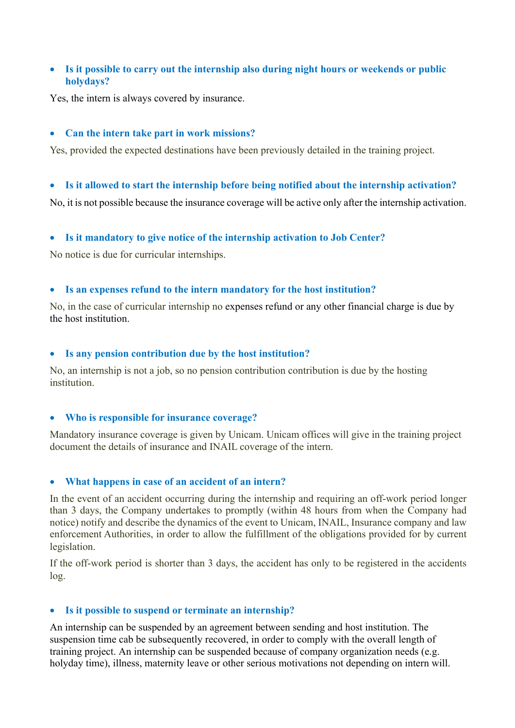# • **Is it possible to carry out the internship also during night hours or weekends or public holydays?**

Yes, the intern is always covered by insurance.

### • **Can the intern take part in work missions?**

Yes, provided the expected destinations have been previously detailed in the training project.

#### • **Is it allowed to start the internship before being notified about the internship activation?**

No, it is not possible because the insurance coverage will be active only after the internship activation.

## • **Is it mandatory to give notice of the internship activation to Job Center?**

No notice is due for curricular internships.

### • **Is an expenses refund to the intern mandatory for the host institution?**

No, in the case of curricular internship no expenses refund or any other financial charge is due by the host institution.

#### • **Is any pension contribution due by the host institution?**

No, an internship is not a job, so no pension contribution contribution is due by the hosting institution.

#### • **Who is responsible for insurance coverage?**

Mandatory insurance coverage is given by Unicam. Unicam offices will give in the training project document the details of insurance and INAIL coverage of the intern.

#### • **What happens in case of an accident of an intern?**

In the event of an accident occurring during the internship and requiring an off-work period longer than 3 days, the Company undertakes to promptly (within 48 hours from when the Company had notice) notify and describe the dynamics of the event to Unicam, INAIL, Insurance company and law enforcement Authorities, in order to allow the fulfillment of the obligations provided for by current legislation.

If the off-work period is shorter than 3 days, the accident has only to be registered in the accidents log.

## • **Is it possible to suspend or terminate an internship?**

An internship can be suspended by an agreement between sending and host institution. The suspension time cab be subsequently recovered, in order to comply with the overall length of training project. An internship can be suspended because of company organization needs (e.g. holyday time), illness, maternity leave or other serious motivations not depending on intern will.